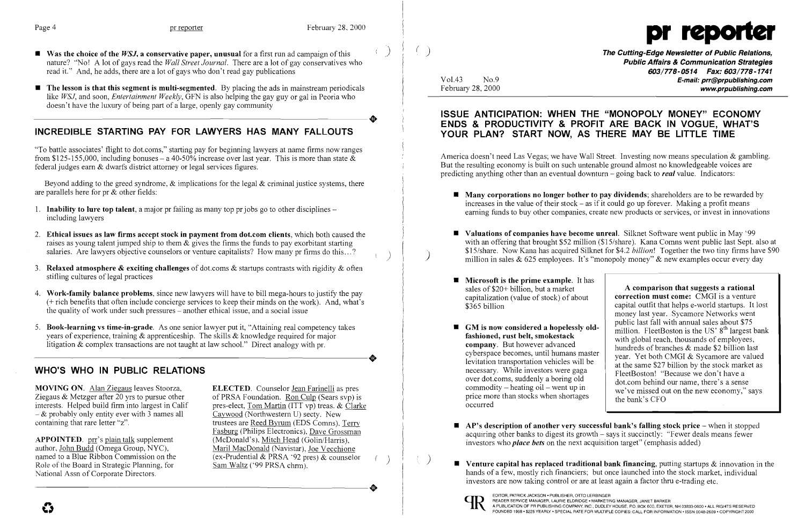

- **Example 19 and The Cutting-Edge Newsletter of Public Relations,** The Cutting-Edge Newsletter of Public Relations, nature? "No! A lot of gays read the *Wall Street Journal.* There are a lot of gay conservatives who read it." And, he adds, there are a lot of gays who don't read gay publications
- $\blacksquare$  The lesson is that this segment is multi-segmented. By placing the ads in mainstream periodicals like *WSJ,* and soon, *Entertainment Weekly,* GFN is also helping the gay guy or gal in Peoria who -----------------------+ doesn't have the luxury of being part of a large, openly gay community

# INCREDIBLE STARTING PAY FOR LAWYERS HAS MANY FALLOUTS

"To battle associates' flight to dot.coms," starting pay for beginning lawyers at name firms now ranges from \$125-155,000, including bonuses – a 40-50% increase over last year. This is more than state  $\&$ federal judges earn & dwarfs district attorney or legal services figures.

Beyond adding to the greed syndrome,  $\&$  implications for the legal  $\&$  criminal justice systems, there are parallels here for pr  $\&$  other fields:

- 1. Inability to lure top talent, a major pr failing as many top pr jobs go to other disciplines including lawyers
- 2. Ethical issues as law firms accept stock in payment from dot.com clients, which both caused the raises as young talent jumped ship to them  $\&$  gives the firms the funds to pay exorbitant starting salaries. Are lawyers objective counselors or venture capitalists? How many pr firms do this...?
- 3. Relaxed atmosphere & exciting challenges of dot.coms & startups contrasts with rigidity & often stifling cultures of legal practices
- 4. Work-family balance problems, since new lawyers will have to bill mega-hours to justify the pay (+ rich benefits that often include concierge services to keep their minds on the work). And, what's the quality of work under such pressures - another ethical issue, and a social issue
- 5. Book-learning vs time-in-grade. As one senior lawyer put it, "Attaining real competency takes years of experience, training & apprenticeship. The skills & knowledge required for major<br>litigation & complex transactions are not taught at law school." Direct analogy with pr. litigation & complex transactions are not taught at law school." Direct analogy with pr.

Public Affairs & Communication Strategies 603/778-0514 Fax: 603/778-1741 Vol.43 No.9 **No.9** No.9 **E-mail: prr@prpublishing.com** www.prpublishing.com

### ISSUE ANTICIPATION: WHEN THE "MONOPOLY MONEY" ECONOMY ENDS & PRODUCTIVITY & PROFIT ARE BACK IN VOGUE, WHAT'S YOUR PLAN? START NOW, AS THERE MAY BE LITTLE TIME

 $\blacksquare$  Many corporations no longer bother to pay dividends; shareholders are to be rewarded by increases in the value of their stock – as if it could go up forever. Making a profit means earning funds to buy other companies, create new products or services, or invest in innovations

**• Valuations of companies have become unreal.** Silknet Software went public in May '99 with an offering that brought \$52 million (\$15/share). Kana Comns went public last Sept. also at \$15/share. Now Kana has acquired Silknet for \$4.2 billion! Together the two tiny firms have \$90  $\big)$  \$15/share. Now Kana has acquired Silknet for \$4.2 *billion*! **Together the two tiny firms have**  $\big)$  million in sales & 625 employees. It's "monopoly money" & new examples occur every day

# WHO'S WHO IN PUBLIC RELATIONS

MOVING ON. Alan Ziegaus leaves Stoorza,<br>
Ziegaus & Metzger after 20 yrs to pursue other of PRSA Foundation. Ron Culp (Sears syp) is Ziegaus & Metzger after 20 yrs to pursue other of PRSA Foundation.  $\frac{R_{on} \text{Culp}}{(\text{Sears svp})}$  is interests. Helped build firm into largest in Calif pres-elect. Tom Martin (ITT vp) treas. & Clark  $-$  & probably only entity ever with 3 names all containing that rare letter "z".

APPOINTED. prr's plain talk supplement author, John Budd (Omega Group, NYC), author, John Budd (Omega Group, NYC),<br>
named to a Blue Ribbon Commission on the (ex-Prudential & PRSA '92 pres) & counselo National Assn of Corporate Directors. Role of the Board in Strategic Planning, for<br>National Assn of Corporate Directors.

pres-elect, <u>Tom Martin</u> (ITT vp) treas. & Clarke<br>Caywood (Northwestern U) secty. New trustees are Reed Byrum (EDS Comns), Terry Fasburg (Philips Electronics), Dave Grossman (McDonald's), Mitch Head (Golin/Harris). named to a Blue Ribbon Commission on the (ex-Prudential & PRSA '92 pres) & counselor Role of the Board in Strategic Planning, for Sam Waltz ('99 PRSA chrm).

 $\blacksquare$  AP's description of another very successful bank's falling stock price  $\lnot$  when it stopped acquiring other banks to digest its growth - says it succinctly: "Fewer deals means fewer

**• Venture capital has replaced traditional bank financing, putting startups**  $\&$  **innovation in the** hands of a few, mostly rich financiers; but once launched into the stock market, individual

- 
- 
- $\blacksquare$  Microsoft is the prime example. It has sales of \$20+ billion, but a market capitalization (value of stock) of about \$365 billion
- $\blacksquare$  GM is now considered a hopelessly oldfashioned, rust belt, smokestack company. But however advanced cyberspace becomes, until humans master levitation transportation vehicles will be necessary. While investors were gaga over dot.coms, suddenly a boring old commodity  $-\text{heating oil} - \text{went up in}$ price more than stocks when shortages occurred
- investors who *place bets* on the next acquisition target" (emphasis added)
- investors are now taking control or are at least again a factor thru e-trading etc.



 $\begin{pmatrix} 1 & 1 \\ 1 & 1 \end{pmatrix}$ 

America doesn't need Las Vegas; we have Wall Street. Investing now means speculation & gambling. But the resulting economy is built on such untenable ground almost no knowledgeable voices are predicting anything other than an eventual downturn - going back to *real* value. Indicators:

> A comparison that suggests a rational correction must come: CMGI is a venture capital outfit that helps e-world startups. It lost money last year. Sycamore Networks went public last fall with annual sales about \$75 million. FleetBoston is the US'  $8<sup>th</sup>$  largest bank with global reach, thousands of employees, hundreds of branches & made \$2 billion last year. Yet both CMGI & Sycamore are valued at the same \$27 billion by the stock market as FleetBoston! "Because we don't have a dot.com behind our name, there's a sense we've missed out on the new economy," says the bank's CFO